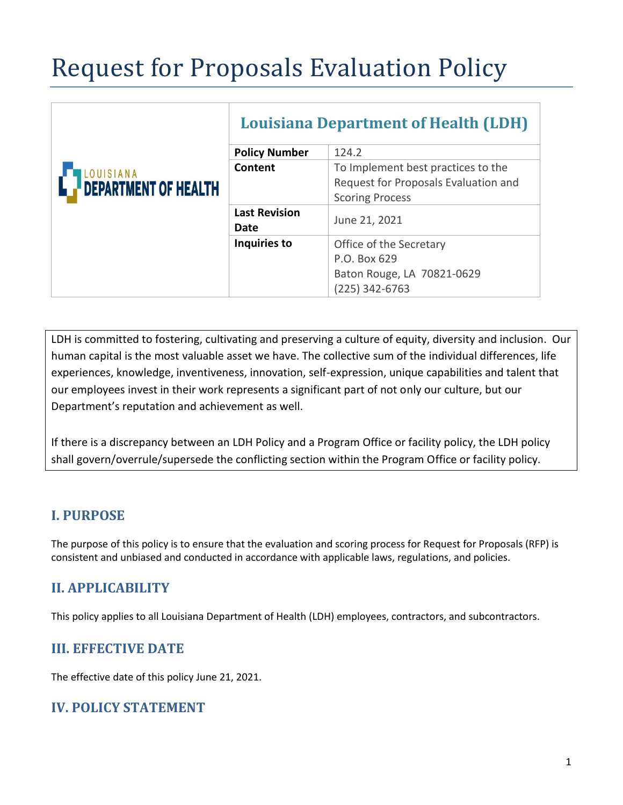# Request for Proposals Evaluation Policy

|                                          | <b>Louisiana Department of Health (LDH)</b> |                                      |
|------------------------------------------|---------------------------------------------|--------------------------------------|
| LOUISIANA<br><b>DEPARTMENT OF HEALTH</b> | <b>Policy Number</b>                        | 124.2                                |
|                                          | Content                                     | To Implement best practices to the   |
|                                          |                                             | Request for Proposals Evaluation and |
|                                          |                                             | <b>Scoring Process</b>               |
|                                          | <b>Last Revision</b><br>Date                | June 21, 2021                        |
|                                          | Inquiries to                                | Office of the Secretary              |
|                                          |                                             | P.O. Box 629                         |
|                                          |                                             | Baton Rouge, LA 70821-0629           |
|                                          |                                             | $(225)$ 342-6763                     |

LDH is committed to fostering, cultivating and preserving a culture of equity, diversity and inclusion. Our human capital is the most valuable asset we have. The collective sum of the individual differences, life experiences, knowledge, inventiveness, innovation, self-expression, unique capabilities and talent that our employees invest in their work represents a significant part of not only our culture, but our Department's reputation and achievement as well.

If there is a discrepancy between an LDH Policy and a Program Office or facility policy, the LDH policy shall govern/overrule/supersede the conflicting section within the Program Office or facility policy.

## **I. PURPOSE**

The purpose of this policy is to ensure that the evaluation and scoring process for Request for Proposals (RFP) is consistent and unbiased and conducted in accordance with applicable laws, regulations, and policies.

## **II. APPLICABILITY**

This policy applies to all Louisiana Department of Health (LDH) employees, contractors, and subcontractors.

## **III. EFFECTIVE DATE**

The effective date of this policy June 21, 2021.

### **IV. POLICY STATEMENT**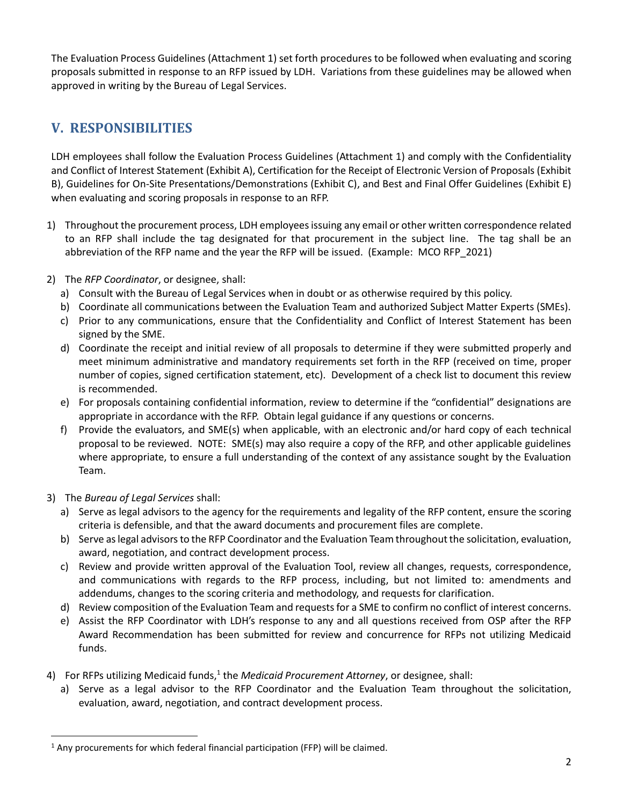The Evaluation Process Guidelines (Attachment 1) set forth procedures to be followed when evaluating and scoring proposals submitted in response to an RFP issued by LDH. Variations from these guidelines may be allowed when approved in writing by the Bureau of Legal Services.

## **V. RESPONSIBILITIES**

LDH employees shall follow the Evaluation Process Guidelines (Attachment 1) and comply with the Confidentiality and Conflict of Interest Statement (Exhibit A), Certification for the Receipt of Electronic Version of Proposals (Exhibit B), Guidelines for On-Site Presentations/Demonstrations (Exhibit C), and Best and Final Offer Guidelines (Exhibit E) when evaluating and scoring proposals in response to an RFP.

- 1) Throughout the procurement process, LDH employees issuing any email or other written correspondence related to an RFP shall include the tag designated for that procurement in the subject line. The tag shall be an abbreviation of the RFP name and the year the RFP will be issued. (Example: MCO RFP\_2021)
- 2) The *RFP Coordinator*, or designee, shall:
	- a) Consult with the Bureau of Legal Services when in doubt or as otherwise required by this policy.
	- b) Coordinate all communications between the Evaluation Team and authorized Subject Matter Experts (SMEs).
	- c) Prior to any communications, ensure that the Confidentiality and Conflict of Interest Statement has been signed by the SME.
	- d) Coordinate the receipt and initial review of all proposals to determine if they were submitted properly and meet minimum administrative and mandatory requirements set forth in the RFP (received on time, proper number of copies, signed certification statement, etc). Development of a check list to document this review is recommended.
	- e) For proposals containing confidential information, review to determine if the "confidential" designations are appropriate in accordance with the RFP. Obtain legal guidance if any questions or concerns.
	- f) Provide the evaluators, and SME(s) when applicable, with an electronic and/or hard copy of each technical proposal to be reviewed. NOTE: SME(s) may also require a copy of the RFP, and other applicable guidelines where appropriate, to ensure a full understanding of the context of any assistance sought by the Evaluation Team.
- 3) The *Bureau of Legal Services* shall:
	- a) Serve as legal advisors to the agency for the requirements and legality of the RFP content, ensure the scoring criteria is defensible, and that the award documents and procurement files are complete.
	- b) Serve as legal advisorsto the RFP Coordinator and the Evaluation Teamthroughout the solicitation, evaluation, award, negotiation, and contract development process.
	- c) Review and provide written approval of the Evaluation Tool, review all changes, requests, correspondence, and communications with regards to the RFP process, including, but not limited to: amendments and addendums, changes to the scoring criteria and methodology, and requests for clarification.
	- d) Review composition of the Evaluation Team and requestsfor a SME to confirm no conflict of interest concerns.
	- e) Assist the RFP Coordinator with LDH's response to any and all questions received from OSP after the RFP Award Recommendation has been submitted for review and concurrence for RFPs not utilizing Medicaid funds.
- 4) For RFPs utilizing Medicaid funds,<sup>1</sup> the *Medicaid Procurement Attorney*, or designee, shall:
	- a) Serve as a legal advisor to the RFP Coordinator and the Evaluation Team throughout the solicitation, evaluation, award, negotiation, and contract development process.

<sup>&</sup>lt;sup>1</sup> Any procurements for which federal financial participation (FFP) will be claimed.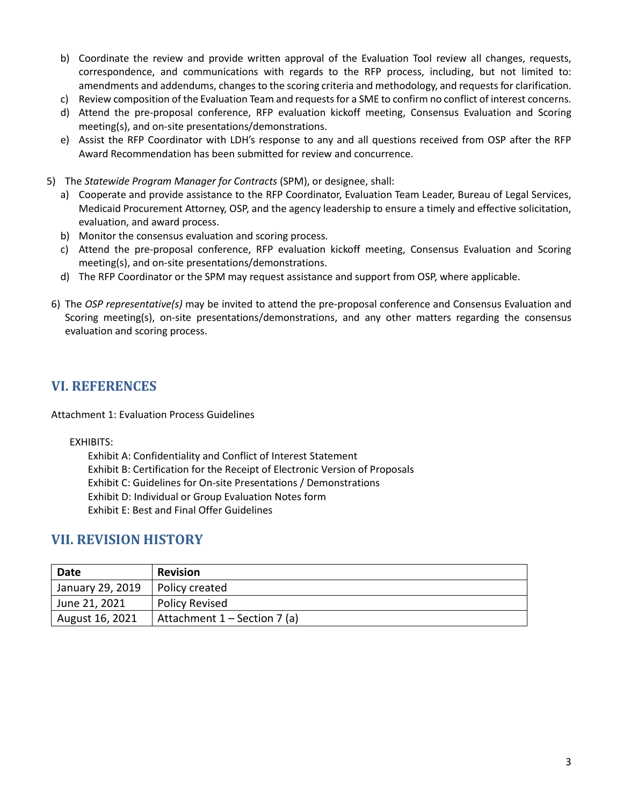- b) Coordinate the review and provide written approval of the Evaluation Tool review all changes, requests, correspondence, and communications with regards to the RFP process, including, but not limited to: amendments and addendums, changes to the scoring criteria and methodology, and requests for clarification.
- c) Review composition of the Evaluation Team and requests for a SME to confirm no conflict of interest concerns.
- d) Attend the pre-proposal conference, RFP evaluation kickoff meeting, Consensus Evaluation and Scoring meeting(s), and on-site presentations/demonstrations.
- e) Assist the RFP Coordinator with LDH's response to any and all questions received from OSP after the RFP Award Recommendation has been submitted for review and concurrence.
- 5) The *Statewide Program Manager for Contracts* (SPM), or designee, shall:
	- a) Cooperate and provide assistance to the RFP Coordinator, Evaluation Team Leader, Bureau of Legal Services, Medicaid Procurement Attorney, OSP, and the agency leadership to ensure a timely and effective solicitation, evaluation, and award process.
	- b) Monitor the consensus evaluation and scoring process.
	- c) Attend the pre-proposal conference, RFP evaluation kickoff meeting, Consensus Evaluation and Scoring meeting(s), and on-site presentations/demonstrations.
	- d) The RFP Coordinator or the SPM may request assistance and support from OSP, where applicable.
- 6) The *OSP representative(s)* may be invited to attend the pre-proposal conference and Consensus Evaluation and Scoring meeting(s), on-site presentations/demonstrations, and any other matters regarding the consensus evaluation and scoring process.

## **VI. REFERENCES**

Attachment 1: Evaluation Process Guidelines

#### EXHIBITS:

Exhibit A: Confidentiality and Conflict of Interest Statement Exhibit B: Certification for the Receipt of Electronic Version of Proposals Exhibit C: Guidelines for On-site Presentations / Demonstrations Exhibit D: Individual or Group Evaluation Notes form Exhibit E: Best and Final Offer Guidelines

### **VII. REVISION HISTORY**

| Date                          | <b>Revision</b>                |
|-------------------------------|--------------------------------|
| <sup>1</sup> January 29, 2019 | Policy created                 |
| June 21, 2021                 | <b>Policy Revised</b>          |
| August 16, 2021               | Attachment $1 -$ Section 7 (a) |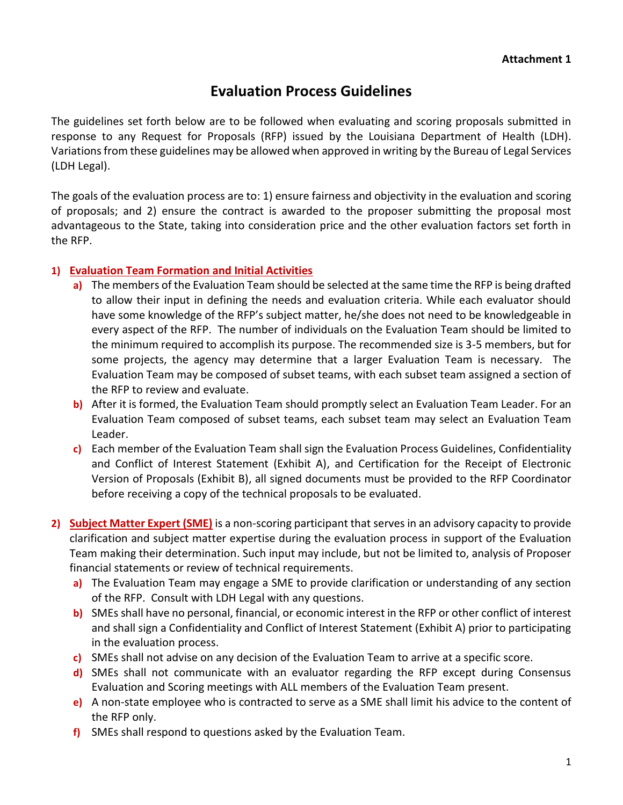# **Evaluation Process Guidelines**

The guidelines set forth below are to be followed when evaluating and scoring proposals submitted in response to any Request for Proposals (RFP) issued by the Louisiana Department of Health (LDH). Variations from these guidelines may be allowed when approved in writing by the Bureau of Legal Services (LDH Legal).

The goals of the evaluation process are to: 1) ensure fairness and objectivity in the evaluation and scoring of proposals; and 2) ensure the contract is awarded to the proposer submitting the proposal most advantageous to the State, taking into consideration price and the other evaluation factors set forth in the RFP.

#### **1) Evaluation Team Formation and Initial Activities**

- **a)** The members of the Evaluation Team should be selected at the same time the RFP is being drafted to allow their input in defining the needs and evaluation criteria. While each evaluator should have some knowledge of the RFP's subject matter, he/she does not need to be knowledgeable in every aspect of the RFP. The number of individuals on the Evaluation Team should be limited to the minimum required to accomplish its purpose. The recommended size is 3-5 members, but for some projects, the agency may determine that a larger Evaluation Team is necessary. The Evaluation Team may be composed of subset teams, with each subset team assigned a section of the RFP to review and evaluate.
- **b)** After it is formed, the Evaluation Team should promptly select an Evaluation Team Leader. For an Evaluation Team composed of subset teams, each subset team may select an Evaluation Team Leader.
- **c)** Each member of the Evaluation Team shall sign the Evaluation Process Guidelines, Confidentiality and Conflict of Interest Statement (Exhibit A), and Certification for the Receipt of Electronic Version of Proposals (Exhibit B), all signed documents must be provided to the RFP Coordinator before receiving a copy of the technical proposals to be evaluated.
- **2) Subject Matter Expert (SME)** is a non-scoring participant that serves in an advisory capacity to provide clarification and subject matter expertise during the evaluation process in support of the Evaluation Team making their determination. Such input may include, but not be limited to, analysis of Proposer financial statements or review of technical requirements.
	- **a)** The Evaluation Team may engage a SME to provide clarification or understanding of any section of the RFP. Consult with LDH Legal with any questions.
	- **b)** SMEs shall have no personal, financial, or economic interest in the RFP or other conflict of interest and shall sign a Confidentiality and Conflict of Interest Statement (Exhibit A) prior to participating in the evaluation process.
	- **c)** SMEs shall not advise on any decision of the Evaluation Team to arrive at a specific score.
	- **d)** SMEs shall not communicate with an evaluator regarding the RFP except during Consensus Evaluation and Scoring meetings with ALL members of the Evaluation Team present.
	- **e)** A non-state employee who is contracted to serve as a SME shall limit his advice to the content of the RFP only.
	- **f)** SMEs shall respond to questions asked by the Evaluation Team.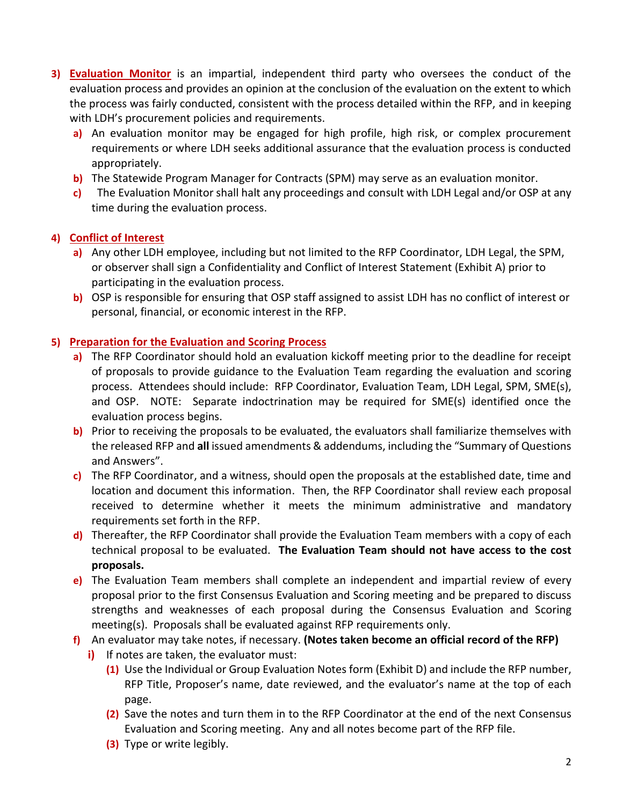- **3) Evaluation Monitor** is an impartial, independent third party who oversees the conduct of the evaluation process and provides an opinion at the conclusion of the evaluation on the extent to which the process was fairly conducted, consistent with the process detailed within the RFP, and in keeping with LDH's procurement policies and requirements.
	- **a)** An evaluation monitor may be engaged for high profile, high risk, or complex procurement requirements or where LDH seeks additional assurance that the evaluation process is conducted appropriately.
	- **b)** The Statewide Program Manager for Contracts (SPM) may serve as an evaluation monitor.
	- **c)** The Evaluation Monitor shall halt any proceedings and consult with LDH Legal and/or OSP at any time during the evaluation process.

### **4) Conflict of Interest**

- **a)** Any other LDH employee, including but not limited to the RFP Coordinator, LDH Legal, the SPM, or observer shall sign a Confidentiality and Conflict of Interest Statement (Exhibit A) prior to participating in the evaluation process.
- **b)** OSP is responsible for ensuring that OSP staff assigned to assist LDH has no conflict of interest or personal, financial, or economic interest in the RFP.

#### **5) Preparation for the Evaluation and Scoring Process**

- **a)** The RFP Coordinator should hold an evaluation kickoff meeting prior to the deadline for receipt of proposals to provide guidance to the Evaluation Team regarding the evaluation and scoring process. Attendees should include: RFP Coordinator, Evaluation Team, LDH Legal, SPM, SME(s), and OSP. NOTE: Separate indoctrination may be required for SME(s) identified once the evaluation process begins.
- **b)** Prior to receiving the proposals to be evaluated, the evaluators shall familiarize themselves with the released RFP and **all** issued amendments & addendums, including the "Summary of Questions and Answers".
- **c)** The RFP Coordinator, and a witness, should open the proposals at the established date, time and location and document this information. Then, the RFP Coordinator shall review each proposal received to determine whether it meets the minimum administrative and mandatory requirements set forth in the RFP.
- **d)** Thereafter, the RFP Coordinator shall provide the Evaluation Team members with a copy of each technical proposal to be evaluated. **The Evaluation Team should not have access to the cost proposals.**
- **e)** The Evaluation Team members shall complete an independent and impartial review of every proposal prior to the first Consensus Evaluation and Scoring meeting and be prepared to discuss strengths and weaknesses of each proposal during the Consensus Evaluation and Scoring meeting(s). Proposals shall be evaluated against RFP requirements only.
- **f)** An evaluator may take notes, if necessary. **(Notes taken become an official record of the RFP)**
	- **i)** If notes are taken, the evaluator must:
		- **(1)** Use the Individual or Group Evaluation Notes form (Exhibit D) and include the RFP number, RFP Title, Proposer's name, date reviewed, and the evaluator's name at the top of each page.
		- **(2)** Save the notes and turn them in to the RFP Coordinator at the end of the next Consensus Evaluation and Scoring meeting. Any and all notes become part of the RFP file.
		- **(3)** Type or write legibly.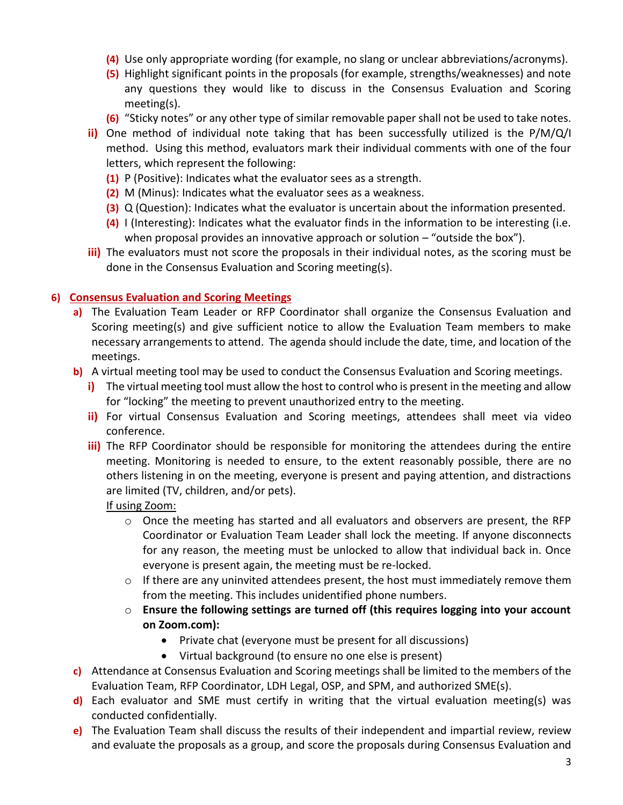- **(4)** Use only appropriate wording (for example, no slang or unclear abbreviations/acronyms).
- **(5)** Highlight significant points in the proposals (for example, strengths/weaknesses) and note any questions they would like to discuss in the Consensus Evaluation and Scoring meeting(s).
- **(6)** "Sticky notes" or any other type of similar removable paper shall not be used to take notes.
- **ii)** One method of individual note taking that has been successfully utilized is the P/M/Q/I method. Using this method, evaluators mark their individual comments with one of the four letters, which represent the following:
	- **(1)** P (Positive): Indicates what the evaluator sees as a strength.
	- **(2)** M (Minus): Indicates what the evaluator sees as a weakness.
	- **(3)** Q (Question): Indicates what the evaluator is uncertain about the information presented.
	- **(4)** I (Interesting): Indicates what the evaluator finds in the information to be interesting (i.e. when proposal provides an innovative approach or solution – "outside the box").
- **iii)** The evaluators must not score the proposals in their individual notes, as the scoring must be done in the Consensus Evaluation and Scoring meeting(s).

#### **6) Consensus Evaluation and Scoring Meetings**

- **a)** The Evaluation Team Leader or RFP Coordinator shall organize the Consensus Evaluation and Scoring meeting(s) and give sufficient notice to allow the Evaluation Team members to make necessary arrangements to attend. The agenda should include the date, time, and location of the meetings.
- **b)** A virtual meeting tool may be used to conduct the Consensus Evaluation and Scoring meetings.
	- **i)** The virtual meeting tool must allow the host to control who is present in the meeting and allow for "locking" the meeting to prevent unauthorized entry to the meeting.
	- **ii)** For virtual Consensus Evaluation and Scoring meetings, attendees shall meet via video conference.
	- **iii)** The RFP Coordinator should be responsible for monitoring the attendees during the entire meeting. Monitoring is needed to ensure, to the extent reasonably possible, there are no others listening in on the meeting, everyone is present and paying attention, and distractions are limited (TV, children, and/or pets).

#### If using Zoom:

- $\circ$  Once the meeting has started and all evaluators and observers are present, the RFP Coordinator or Evaluation Team Leader shall lock the meeting. If anyone disconnects for any reason, the meeting must be unlocked to allow that individual back in. Once everyone is present again, the meeting must be re-locked.
- $\circ$  If there are any uninvited attendees present, the host must immediately remove them from the meeting. This includes unidentified phone numbers.
- o **Ensure the following settings are turned off (this requires logging into your account on Zoom.com):**
	- Private chat (everyone must be present for all discussions)
	- Virtual background (to ensure no one else is present)
- **c)** Attendance at Consensus Evaluation and Scoring meetings shall be limited to the members of the Evaluation Team, RFP Coordinator, LDH Legal, OSP, and SPM, and authorized SME(s).
- **d)** Each evaluator and SME must certify in writing that the virtual evaluation meeting(s) was conducted confidentially.
- **e)** The Evaluation Team shall discuss the results of their independent and impartial review, review and evaluate the proposals as a group, and score the proposals during Consensus Evaluation and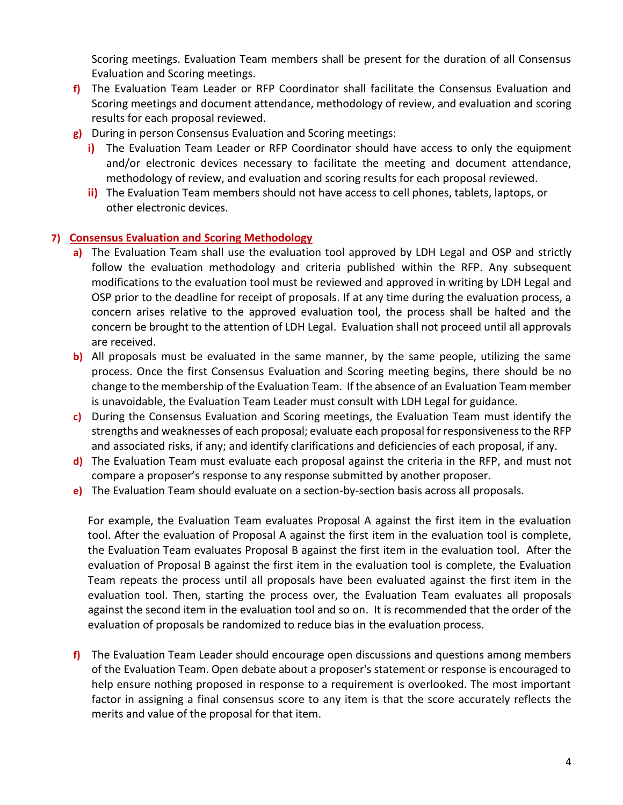Scoring meetings. Evaluation Team members shall be present for the duration of all Consensus Evaluation and Scoring meetings.

- **f)** The Evaluation Team Leader or RFP Coordinator shall facilitate the Consensus Evaluation and Scoring meetings and document attendance, methodology of review, and evaluation and scoring results for each proposal reviewed.
- **g)** During in person Consensus Evaluation and Scoring meetings:
	- **i)** The Evaluation Team Leader or RFP Coordinator should have access to only the equipment and/or electronic devices necessary to facilitate the meeting and document attendance, methodology of review, and evaluation and scoring results for each proposal reviewed.
	- **ii)** The Evaluation Team members should not have access to cell phones, tablets, laptops, or other electronic devices.

#### **7) Consensus Evaluation and Scoring Methodology**

- **a)** The Evaluation Team shall use the evaluation tool approved by LDH Legal and OSP and strictly follow the evaluation methodology and criteria published within the RFP. Any subsequent modifications to the evaluation tool must be reviewed and approved in writing by LDH Legal and OSP prior to the deadline for receipt of proposals. If at any time during the evaluation process, a concern arises relative to the approved evaluation tool, the process shall be halted and the concern be brought to the attention of LDH Legal. Evaluation shall not proceed until all approvals are received.
- **b)** All proposals must be evaluated in the same manner, by the same people, utilizing the same process. Once the first Consensus Evaluation and Scoring meeting begins, there should be no change to the membership of the Evaluation Team. If the absence of an Evaluation Team member is unavoidable, the Evaluation Team Leader must consult with LDH Legal for guidance.
- **c)** During the Consensus Evaluation and Scoring meetings, the Evaluation Team must identify the strengths and weaknesses of each proposal; evaluate each proposal for responsiveness to the RFP and associated risks, if any; and identify clarifications and deficiencies of each proposal, if any.
- **d)** The Evaluation Team must evaluate each proposal against the criteria in the RFP, and must not compare a proposer's response to any response submitted by another proposer.
- **e)** The Evaluation Team should evaluate on a section-by-section basis across all proposals.

For example, the Evaluation Team evaluates Proposal A against the first item in the evaluation tool. After the evaluation of Proposal A against the first item in the evaluation tool is complete, the Evaluation Team evaluates Proposal B against the first item in the evaluation tool. After the evaluation of Proposal B against the first item in the evaluation tool is complete, the Evaluation Team repeats the process until all proposals have been evaluated against the first item in the evaluation tool. Then, starting the process over, the Evaluation Team evaluates all proposals against the second item in the evaluation tool and so on. It is recommended that the order of the evaluation of proposals be randomized to reduce bias in the evaluation process.

**f)** The Evaluation Team Leader should encourage open discussions and questions among members of the Evaluation Team. Open debate about a proposer's statement or response is encouraged to help ensure nothing proposed in response to a requirement is overlooked. The most important factor in assigning a final consensus score to any item is that the score accurately reflects the merits and value of the proposal for that item.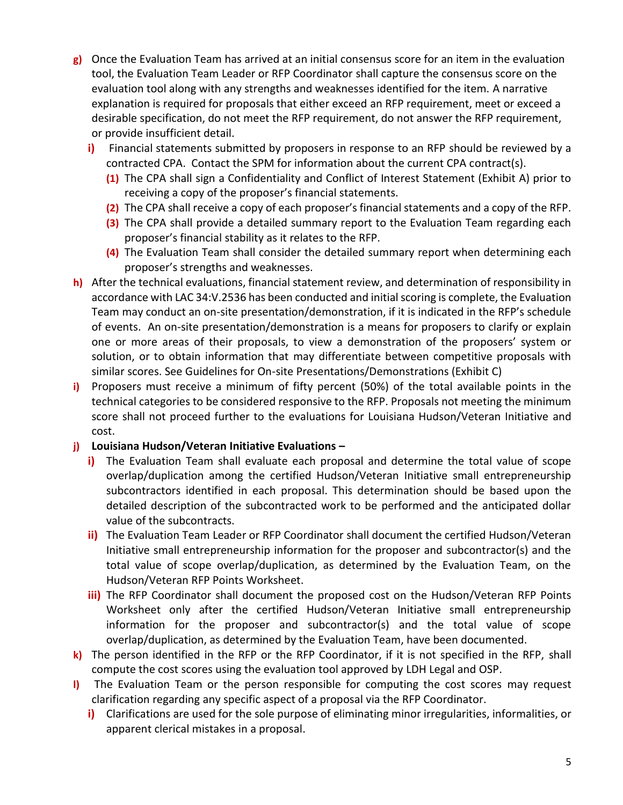- **g)** Once the Evaluation Team has arrived at an initial consensus score for an item in the evaluation tool, the Evaluation Team Leader or RFP Coordinator shall capture the consensus score on the evaluation tool along with any strengths and weaknesses identified for the item. A narrative explanation is required for proposals that either exceed an RFP requirement, meet or exceed a desirable specification, do not meet the RFP requirement, do not answer the RFP requirement, or provide insufficient detail.
	- **i)** Financial statements submitted by proposers in response to an RFP should be reviewed by a contracted CPA. Contact the SPM for information about the current CPA contract(s).
		- **(1)** The CPA shall sign a Confidentiality and Conflict of Interest Statement (Exhibit A) prior to receiving a copy of the proposer's financial statements.
		- **(2)** The CPA shall receive a copy of each proposer's financial statements and a copy of the RFP.
		- **(3)** The CPA shall provide a detailed summary report to the Evaluation Team regarding each proposer's financial stability as it relates to the RFP.
		- **(4)** The Evaluation Team shall consider the detailed summary report when determining each proposer's strengths and weaknesses.
- **h)** After the technical evaluations, financial statement review, and determination of responsibility in accordance with LAC 34:V.2536 has been conducted and initial scoring is complete, the Evaluation Team may conduct an on-site presentation/demonstration, if it is indicated in the RFP's schedule of events. An on-site presentation/demonstration is a means for proposers to clarify or explain one or more areas of their proposals, to view a demonstration of the proposers' system or solution, or to obtain information that may differentiate between competitive proposals with similar scores. See Guidelines for On-site Presentations/Demonstrations (Exhibit C)
- **i)** Proposers must receive a minimum of fifty percent (50%) of the total available points in the technical categories to be considered responsive to the RFP. Proposals not meeting the minimum score shall not proceed further to the evaluations for Louisiana Hudson/Veteran Initiative and cost.

#### **j) Louisiana Hudson/Veteran Initiative Evaluations –**

- **i)** The Evaluation Team shall evaluate each proposal and determine the total value of scope overlap/duplication among the certified Hudson/Veteran Initiative small entrepreneurship subcontractors identified in each proposal. This determination should be based upon the detailed description of the subcontracted work to be performed and the anticipated dollar value of the subcontracts.
- **ii)** The Evaluation Team Leader or RFP Coordinator shall document the certified Hudson/Veteran Initiative small entrepreneurship information for the proposer and subcontractor(s) and the total value of scope overlap/duplication, as determined by the Evaluation Team, on the Hudson/Veteran RFP Points Worksheet.
- **iii)** The RFP Coordinator shall document the proposed cost on the Hudson/Veteran RFP Points Worksheet only after the certified Hudson/Veteran Initiative small entrepreneurship information for the proposer and subcontractor(s) and the total value of scope overlap/duplication, as determined by the Evaluation Team, have been documented.
- **k)** The person identified in the RFP or the RFP Coordinator, if it is not specified in the RFP, shall compute the cost scores using the evaluation tool approved by LDH Legal and OSP.
- **l)** The Evaluation Team or the person responsible for computing the cost scores may request clarification regarding any specific aspect of a proposal via the RFP Coordinator.
	- **i)** Clarifications are used for the sole purpose of eliminating minor irregularities, informalities, or apparent clerical mistakes in a proposal.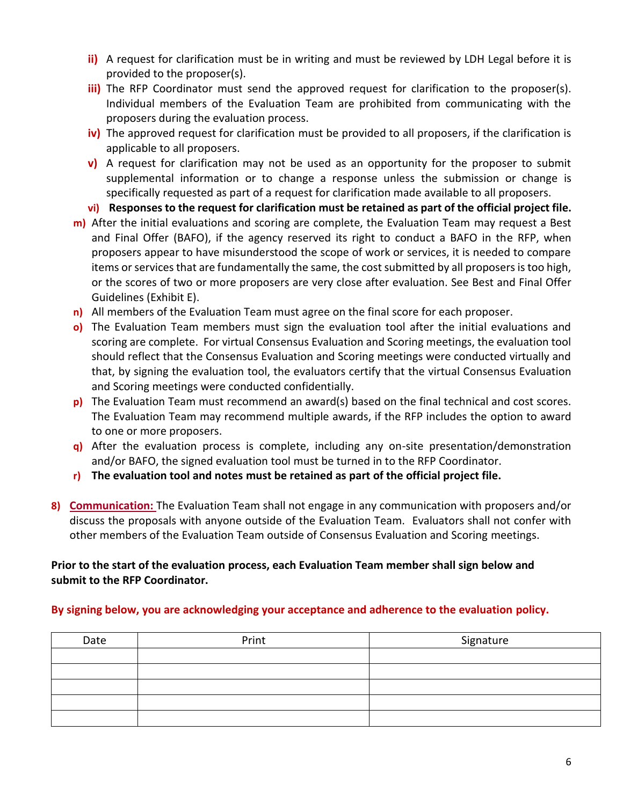- **ii)** A request for clarification must be in writing and must be reviewed by LDH Legal before it is provided to the proposer(s).
- **iii)** The RFP Coordinator must send the approved request for clarification to the proposer(s). Individual members of the Evaluation Team are prohibited from communicating with the proposers during the evaluation process.
- **iv)** The approved request for clarification must be provided to all proposers, if the clarification is applicable to all proposers.
- **v)** A request for clarification may not be used as an opportunity for the proposer to submit supplemental information or to change a response unless the submission or change is specifically requested as part of a request for clarification made available to all proposers.
- **vi) Responses to the request for clarification must be retained as part of the official project file.**
- **m)** After the initial evaluations and scoring are complete, the Evaluation Team may request a Best and Final Offer (BAFO), if the agency reserved its right to conduct a BAFO in the RFP, when proposers appear to have misunderstood the scope of work or services, it is needed to compare items or services that are fundamentally the same, the cost submitted by all proposers is too high, or the scores of two or more proposers are very close after evaluation. See Best and Final Offer Guidelines (Exhibit E).
- **n)** All members of the Evaluation Team must agree on the final score for each proposer.
- **o)** The Evaluation Team members must sign the evaluation tool after the initial evaluations and scoring are complete. For virtual Consensus Evaluation and Scoring meetings, the evaluation tool should reflect that the Consensus Evaluation and Scoring meetings were conducted virtually and that, by signing the evaluation tool, the evaluators certify that the virtual Consensus Evaluation and Scoring meetings were conducted confidentially.
- **p)** The Evaluation Team must recommend an award(s) based on the final technical and cost scores. The Evaluation Team may recommend multiple awards, if the RFP includes the option to award to one or more proposers.
- **q)** After the evaluation process is complete, including any on-site presentation/demonstration and/or BAFO, the signed evaluation tool must be turned in to the RFP Coordinator.
- **r) The evaluation tool and notes must be retained as part of the official project file.**
- **8) Communication:** The Evaluation Team shall not engage in any communication with proposers and/or discuss the proposals with anyone outside of the Evaluation Team. Evaluators shall not confer with other members of the Evaluation Team outside of Consensus Evaluation and Scoring meetings.

#### **Prior to the start of the evaluation process, each Evaluation Team member shall sign below and submit to the RFP Coordinator.**

#### **By signing below, you are acknowledging your acceptance and adherence to the evaluation policy.**

| Date | Print | Signature |  |
|------|-------|-----------|--|
|      |       |           |  |
|      |       |           |  |
|      |       |           |  |
|      |       |           |  |
|      |       |           |  |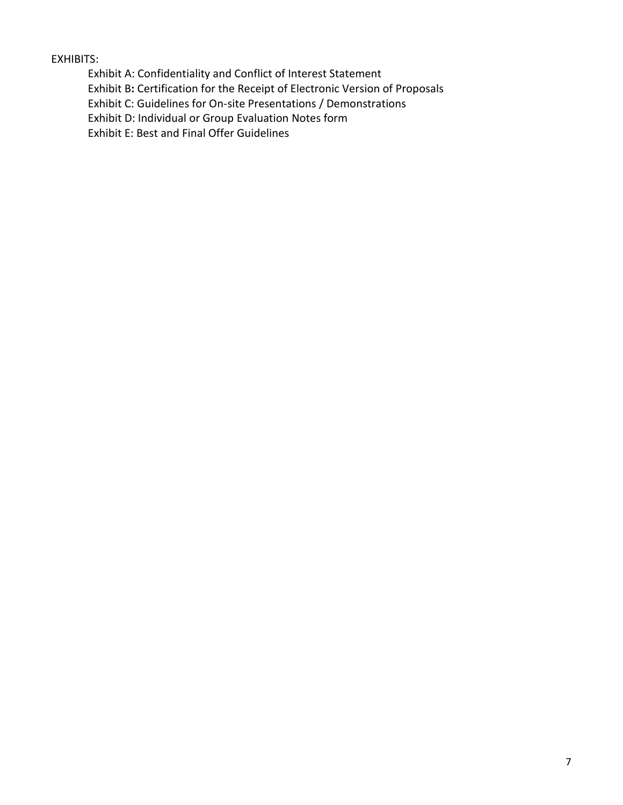EXHIBITS:

Exhibit A: Confidentiality and Conflict of Interest Statement

Exhibit B**:** Certification for the Receipt of Electronic Version of Proposals

Exhibit C: Guidelines for On-site Presentations / Demonstrations

Exhibit D: Individual or Group Evaluation Notes form

Exhibit E: Best and Final Offer Guidelines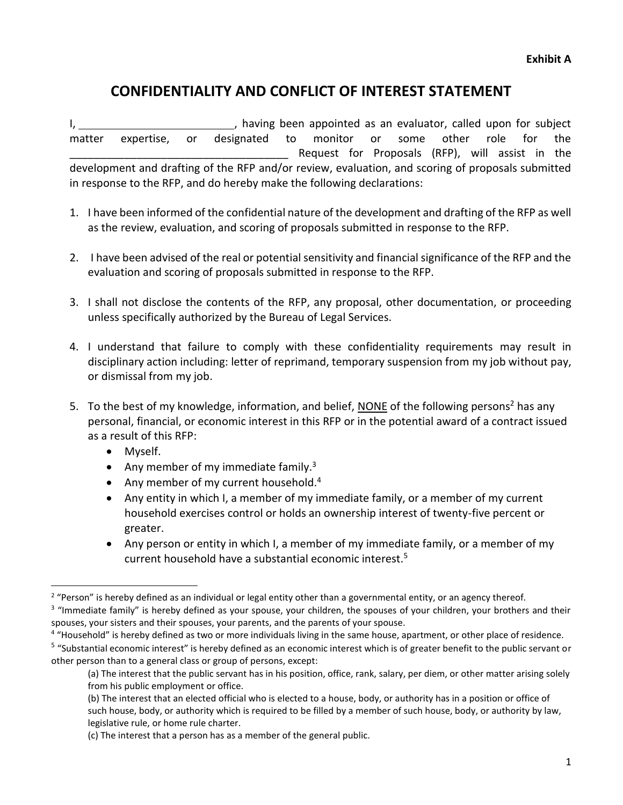# **CONFIDENTIALITY AND CONFLICT OF INTEREST STATEMENT**

I, the subject of the state of the state of the state of the state of the state of the state of the state of the state of the state of the state of the state of the state of the state of the state of the state of the state matter expertise, or designated to monitor or some other role for the Request for Proposals (RFP), will assist in the development and drafting of the RFP and/or review, evaluation, and scoring of proposals submitted in response to the RFP, and do hereby make the following declarations:

- 1. I have been informed of the confidential nature of the development and drafting of the RFP as well as the review, evaluation, and scoring of proposals submitted in response to the RFP.
- 2. I have been advised of the real or potential sensitivity and financial significance of the RFP and the evaluation and scoring of proposals submitted in response to the RFP.
- 3. I shall not disclose the contents of the RFP, any proposal, other documentation, or proceeding unless specifically authorized by the Bureau of Legal Services.
- 4. I understand that failure to comply with these confidentiality requirements may result in disciplinary action including: letter of reprimand, temporary suspension from my job without pay, or dismissal from my job.
- 5. To the best of my knowledge, information, and belief, NONE of the following persons<sup>2</sup> has any personal, financial, or economic interest in this RFP or in the potential award of a contract issued as a result of this RFP:
	- Myself.
	- Any member of my immediate family.<sup>3</sup>
	- Any member of my current household. $4$
	- Any entity in which I, a member of my immediate family, or a member of my current household exercises control or holds an ownership interest of twenty-five percent or greater.
	- Any person or entity in which I, a member of my immediate family, or a member of my current household have a substantial economic interest.<sup>5</sup>

<sup>&</sup>lt;sup>2</sup> "Person" is hereby defined as an individual or legal entity other than a governmental entity, or an agency thereof.

<sup>&</sup>lt;sup>3</sup> "Immediate family" is hereby defined as your spouse, your children, the spouses of your children, your brothers and their spouses, your sisters and their spouses, your parents, and the parents of your spouse.

<sup>&</sup>lt;sup>4</sup> "Household" is hereby defined as two or more individuals living in the same house, apartment, or other place of residence.

<sup>&</sup>lt;sup>5</sup> "Substantial economic interest" is hereby defined as an economic interest which is of greater benefit to the public servant or other person than to a general class or group of persons, except:

<sup>(</sup>a) The interest that the public servant has in his position, office, rank, salary, per diem, or other matter arising solely from his public employment or office.

<sup>(</sup>b) The interest that an elected official who is elected to a house, body, or authority has in a position or office of such house, body, or authority which is required to be filled by a member of such house, body, or authority by law, legislative rule, or home rule charter.

<sup>(</sup>c) The interest that a person has as a member of the general public.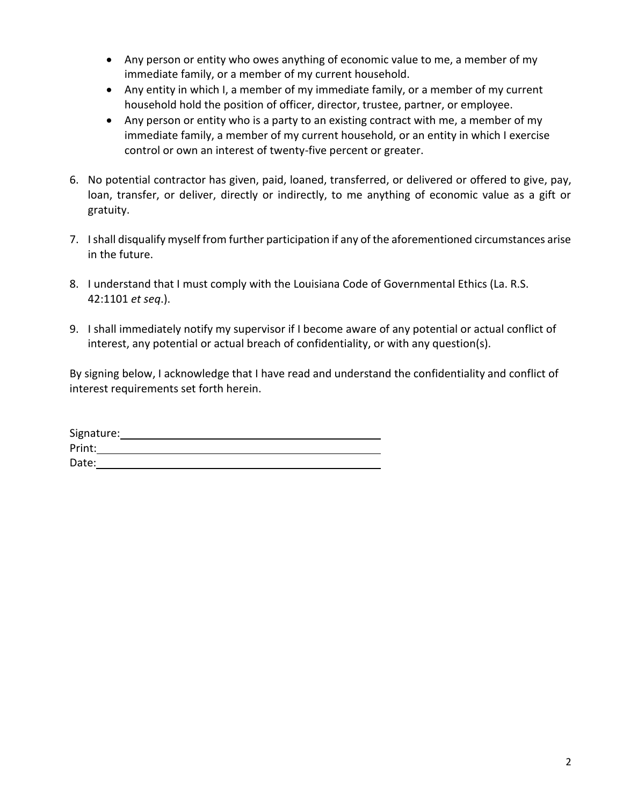- Any person or entity who owes anything of economic value to me, a member of my immediate family, or a member of my current household.
- Any entity in which I, a member of my immediate family, or a member of my current household hold the position of officer, director, trustee, partner, or employee.
- Any person or entity who is a party to an existing contract with me, a member of my immediate family, a member of my current household, or an entity in which I exercise control or own an interest of twenty-five percent or greater.
- 6. No potential contractor has given, paid, loaned, transferred, or delivered or offered to give, pay, loan, transfer, or deliver, directly or indirectly, to me anything of economic value as a gift or gratuity.
- 7. I shall disqualify myself from further participation if any of the aforementioned circumstances arise in the future.
- 8. I understand that I must comply with the Louisiana Code of Governmental Ethics (La. R.S. 42:1101 *et seq*.).
- 9. I shall immediately notify my supervisor if I become aware of any potential or actual conflict of interest, any potential or actual breach of confidentiality, or with any question(s).

By signing below, I acknowledge that I have read and understand the confidentiality and conflict of interest requirements set forth herein.

| Signature: |  |  |
|------------|--|--|
| Print:     |  |  |
| Date:      |  |  |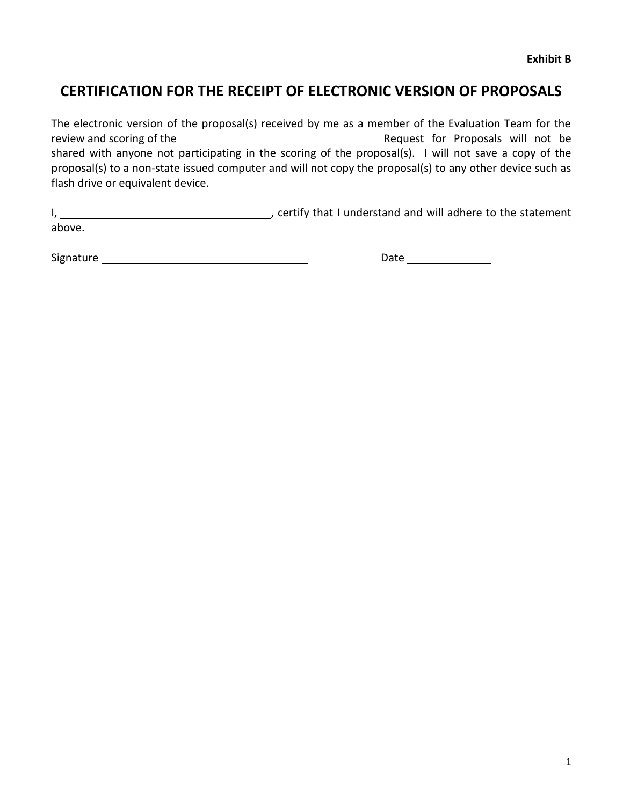# **CERTIFICATION FOR THE RECEIPT OF ELECTRONIC VERSION OF PROPOSALS**

The electronic version of the proposal(s) received by me as a member of the Evaluation Team for the review and scoring of the Request for Proposals will not be Request for Proposals will not be shared with anyone not participating in the scoring of the proposal(s). I will not save a copy of the proposal(s) to a non-state issued computer and will not copy the proposal(s) to any other device such as flash drive or equivalent device.

I, 1. Certify that I understand and will adhere to the statement above.

Signature Date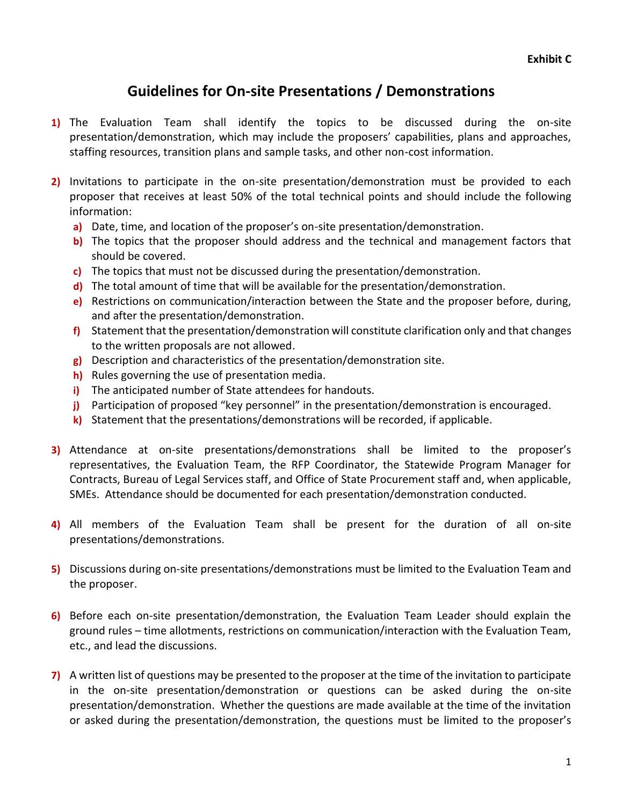# **Guidelines for On-site Presentations / Demonstrations**

- **1)** The Evaluation Team shall identify the topics to be discussed during the on-site presentation/demonstration, which may include the proposers' capabilities, plans and approaches, staffing resources, transition plans and sample tasks, and other non-cost information.
- **2)** Invitations to participate in the on-site presentation/demonstration must be provided to each proposer that receives at least 50% of the total technical points and should include the following information:
	- **a)** Date, time, and location of the proposer's on-site presentation/demonstration.
	- **b)** The topics that the proposer should address and the technical and management factors that should be covered.
	- **c)** The topics that must not be discussed during the presentation/demonstration.
	- **d)** The total amount of time that will be available for the presentation/demonstration.
	- **e)** Restrictions on communication/interaction between the State and the proposer before, during, and after the presentation/demonstration.
	- **f)** Statement that the presentation/demonstration will constitute clarification only and that changes to the written proposals are not allowed.
	- **g)** Description and characteristics of the presentation/demonstration site.
	- **h)** Rules governing the use of presentation media.
	- **i)** The anticipated number of State attendees for handouts.
	- **j)** Participation of proposed "key personnel" in the presentation/demonstration is encouraged.
	- **k)** Statement that the presentations/demonstrations will be recorded, if applicable.
- **3)** Attendance at on-site presentations/demonstrations shall be limited to the proposer's representatives, the Evaluation Team, the RFP Coordinator, the Statewide Program Manager for Contracts, Bureau of Legal Services staff, and Office of State Procurement staff and, when applicable, SMEs. Attendance should be documented for each presentation/demonstration conducted.
- **4)** All members of the Evaluation Team shall be present for the duration of all on-site presentations/demonstrations.
- **5)** Discussions during on-site presentations/demonstrations must be limited to the Evaluation Team and the proposer.
- **6)** Before each on-site presentation/demonstration, the Evaluation Team Leader should explain the ground rules – time allotments, restrictions on communication/interaction with the Evaluation Team, etc., and lead the discussions.
- **7)** A written list of questions may be presented to the proposer at the time of the invitation to participate in the on-site presentation/demonstration or questions can be asked during the on-site presentation/demonstration. Whether the questions are made available at the time of the invitation or asked during the presentation/demonstration, the questions must be limited to the proposer's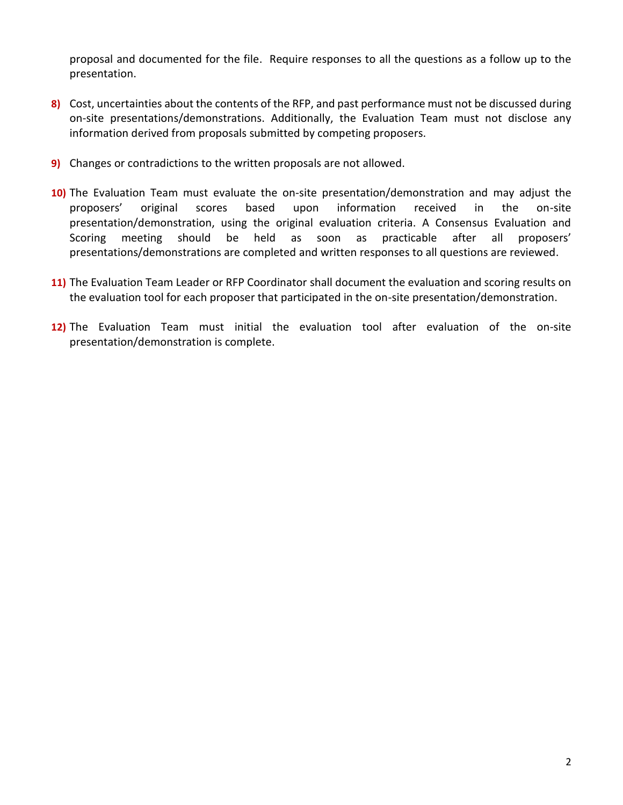proposal and documented for the file. Require responses to all the questions as a follow up to the presentation.

- **8)** Cost, uncertainties about the contents of the RFP, and past performance must not be discussed during on-site presentations/demonstrations. Additionally, the Evaluation Team must not disclose any information derived from proposals submitted by competing proposers.
- **9)** Changes or contradictions to the written proposals are not allowed.
- **10)** The Evaluation Team must evaluate the on-site presentation/demonstration and may adjust the proposers' original scores based upon information received in the on-site presentation/demonstration, using the original evaluation criteria. A Consensus Evaluation and Scoring meeting should be held as soon as practicable after all proposers' presentations/demonstrations are completed and written responses to all questions are reviewed.
- **11)** The Evaluation Team Leader or RFP Coordinator shall document the evaluation and scoring results on the evaluation tool for each proposer that participated in the on-site presentation/demonstration.
- **12)** The Evaluation Team must initial the evaluation tool after evaluation of the on-site presentation/demonstration is complete.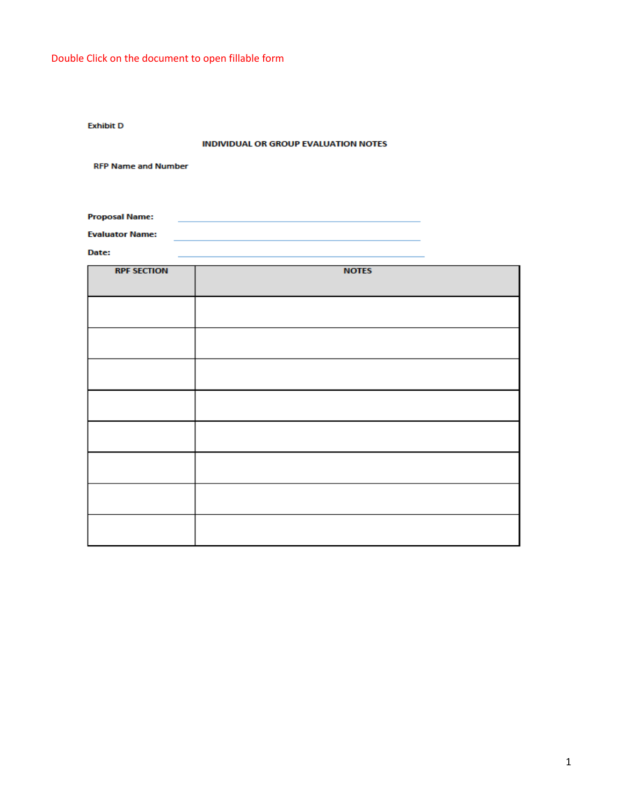**Exhibit D** 

#### **INDIVIDUAL OR GROUP EVALUATION NOTES**

**RFP Name and Number** 

**Proposal Name:** 

**Evaluator Name:** 

Date:

| <b>RPF SECTION</b> | <b>NOTES</b> |
|--------------------|--------------|
|                    |              |
|                    |              |
|                    |              |
|                    |              |
|                    |              |
|                    |              |
|                    |              |
|                    |              |